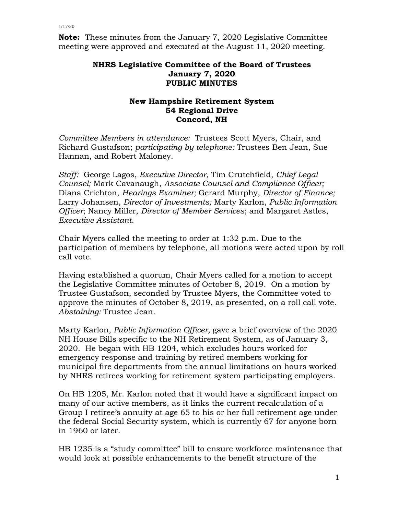**Note:** These minutes from the January 7, 2020 Legislative Committee meeting were approved and executed at the August 11, 2020 meeting.

## **NHRS Legislative Committee of the Board of Trustees January 7, 2020 PUBLIC MINUTES**

## **New Hampshire Retirement System 54 Regional Drive Concord, NH**

*Committee Members in attendance:* Trustees Scott Myers, Chair, and Richard Gustafson; *participating by telephone:* Trustees Ben Jean, Sue Hannan, and Robert Maloney.

*Staff:* George Lagos, *Executive Director*, Tim Crutchfield, *Chief Legal Counsel;* Mark Cavanaugh, *Associate Counsel and Compliance Officer;* Diana Crichton, *Hearings Examiner;* Gerard Murphy, *Director of Finance;* Larry Johansen, *Director of Investments;* Marty Karlon, *Public Information Officer*; Nancy Miller, *Director of Member Services*; and Margaret Astles, *Executive Assistant*.

Chair Myers called the meeting to order at 1:32 p.m. Due to the participation of members by telephone, all motions were acted upon by roll call vote.

Having established a quorum, Chair Myers called for a motion to accept the Legislative Committee minutes of October 8, 2019. On a motion by Trustee Gustafson, seconded by Trustee Myers, the Committee voted to approve the minutes of October 8, 2019, as presented, on a roll call vote. *Abstaining:* Trustee Jean.

Marty Karlon, *Public Information Officer,* gave a brief overview of the 2020 NH House Bills specific to the NH Retirement System, as of January 3, 2020. He began with HB 1204, which excludes hours worked for emergency response and training by retired members working for municipal fire departments from the annual limitations on hours worked by NHRS retirees working for retirement system participating employers.

On HB 1205, Mr. Karlon noted that it would have a significant impact on many of our active members, as it links the current recalculation of a Group I retiree's annuity at age 65 to his or her full retirement age under the federal Social Security system, which is currently 67 for anyone born in 1960 or later.

HB 1235 is a "study committee" bill to ensure workforce maintenance that would look at possible enhancements to the benefit structure of the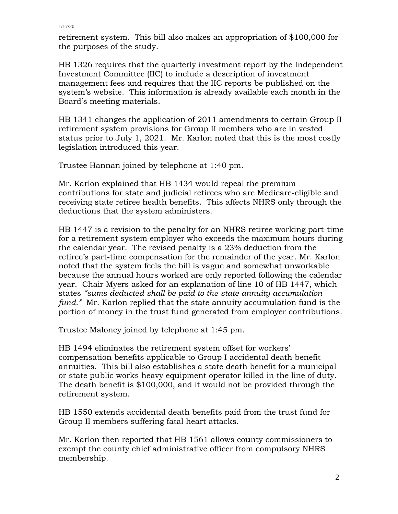retirement system. This bill also makes an appropriation of \$100,000 for the purposes of the study.

HB 1326 requires that the quarterly investment report by the Independent Investment Committee (IIC) to include a description of investment management fees and requires that the IIC reports be published on the system's website. This information is already available each month in the Board's meeting materials.

HB 1341 changes the application of 2011 amendments to certain Group II retirement system provisions for Group II members who are in vested status prior to July 1, 2021. Mr. Karlon noted that this is the most costly legislation introduced this year.

Trustee Hannan joined by telephone at 1:40 pm.

Mr. Karlon explained that HB 1434 would repeal the premium contributions for state and judicial retirees who are Medicare-eligible and receiving state retiree health benefits. This affects NHRS only through the deductions that the system administers.

HB 1447 is a revision to the penalty for an NHRS retiree working part-time for a retirement system employer who exceeds the maximum hours during the calendar year. The revised penalty is a 23% deduction from the retiree's part-time compensation for the remainder of the year. Mr. Karlon noted that the system feels the bill is vague and somewhat unworkable because the annual hours worked are only reported following the calendar year. Chair Myers asked for an explanation of line 10 of HB 1447, which states *"sums deducted shall be paid to the state annuity accumulation fund."* Mr. Karlon replied that the state annuity accumulation fund is the portion of money in the trust fund generated from employer contributions.

Trustee Maloney joined by telephone at 1:45 pm.

HB 1494 eliminates the retirement system offset for workers' compensation benefits applicable to Group I accidental death benefit annuities. This bill also establishes a state death benefit for a municipal or state public works heavy equipment operator killed in the line of duty. The death benefit is \$100,000, and it would not be provided through the retirement system.

HB 1550 extends accidental death benefits paid from the trust fund for Group II members suffering fatal heart attacks.

Mr. Karlon then reported that HB 1561 allows county commissioners to exempt the county chief administrative officer from compulsory NHRS membership.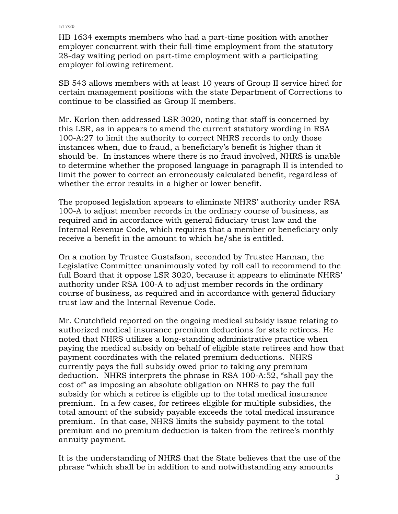HB 1634 exempts members who had a part-time position with another employer concurrent with their full-time employment from the statutory 28-day waiting period on part-time employment with a participating employer following retirement.

SB 543 allows members with at least 10 years of Group II service hired for certain management positions with the state Department of Corrections to continue to be classified as Group II members.

Mr. Karlon then addressed LSR 3020, noting that staff is concerned by this LSR, as in appears to amend the current statutory wording in RSA 100-A:27 to limit the authority to correct NHRS records to only those instances when, due to fraud, a beneficiary's benefit is higher than it should be. In instances where there is no fraud involved, NHRS is unable to determine whether the proposed language in paragraph II is intended to limit the power to correct an erroneously calculated benefit, regardless of whether the error results in a higher or lower benefit.

The proposed legislation appears to eliminate NHRS' authority under RSA 100-A to adjust member records in the ordinary course of business, as required and in accordance with general fiduciary trust law and the Internal Revenue Code, which requires that a member or beneficiary only receive a benefit in the amount to which he/she is entitled.

On a motion by Trustee Gustafson, seconded by Trustee Hannan, the Legislative Committee unanimously voted by roll call to recommend to the full Board that it oppose LSR 3020, because it appears to eliminate NHRS' authority under RSA 100-A to adjust member records in the ordinary course of business, as required and in accordance with general fiduciary trust law and the Internal Revenue Code.

Mr. Crutchfield reported on the ongoing medical subsidy issue relating to authorized medical insurance premium deductions for state retirees. He noted that NHRS utilizes a long-standing administrative practice when paying the medical subsidy on behalf of eligible state retirees and how that payment coordinates with the related premium deductions. NHRS currently pays the full subsidy owed prior to taking any premium deduction. NHRS interprets the phrase in RSA 100-A:52, "shall pay the cost of" as imposing an absolute obligation on NHRS to pay the full subsidy for which a retiree is eligible up to the total medical insurance premium. In a few cases, for retirees eligible for multiple subsidies, the total amount of the subsidy payable exceeds the total medical insurance premium. In that case, NHRS limits the subsidy payment to the total premium and no premium deduction is taken from the retiree's monthly annuity payment.

It is the understanding of NHRS that the State believes that the use of the phrase "which shall be in addition to and notwithstanding any amounts